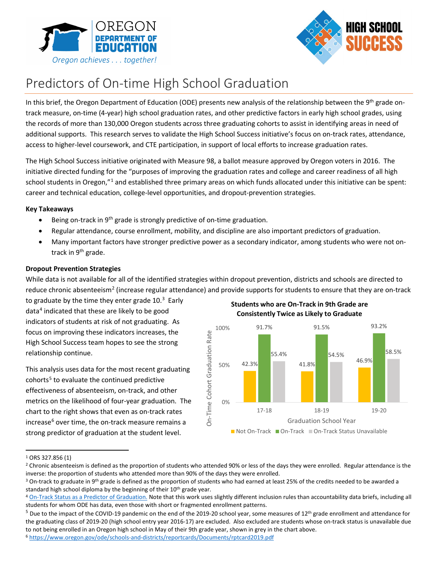



# Predictors of On-time High School Graduation

In this brief, the Oregon Department of Education (ODE) presents new analysis of the relationship between the 9<sup>th</sup> grade ontrack measure, on-time (4-year) high school graduation rates, and other predictive factors in early high school grades, using the records of more than 130,000 Oregon students across three graduating cohorts to assist in identifying areas in need of additional supports. This research serves to validate the High School Success initiative's focus on on-track rates, attendance, access to higher-level coursework, and CTE participation, in support of local efforts to increase graduation rates.

The High School Success initiative originated with Measure 98, a ballot measure approved by Oregon voters in 2016. The initiative directed funding for the "purposes of improving the graduation rates and college and career readiness of all high school students in Oregon,"[1](#page-0-0) and established three primary areas on which funds allocated under this initiative can be spent: career and technical education, college-level opportunities, and dropout-prevention strategies.

### **Key Takeaways**

- Being on-track in 9<sup>th</sup> grade is strongly predictive of on-time graduation.
- Regular attendance, course enrollment, mobility, and discipline are also important predictors of graduation.
- Many important factors have stronger predictive power as a secondary indicator, among students who were not ontrack in 9th grade.

# **Dropout Prevention Strategies**

While data is not available for all of the identified strategies within dropout prevention, districts and schools are directed to reduce chronic absenteeism<sup>[2](#page-0-1)</sup> (increase regular attendance) and provide supports for students to ensure that they are on-track

to graduate by the time they enter grade  $10.^3$  $10.^3$  Early data<sup>[4](#page-0-3)</sup> indicated that these are likely to be good indicators of students at risk of not graduating. As focus on improving these indicators increases, the High School Success team hopes to see the strong relationship continue.

This analysis uses data for the most recent graduating  $\frac{1}{2}$  cohorts<sup>[5](#page-0-4)</sup> to evaluate the continued predictive effectiveness of absenteeism, on-track, and other metrics on the likelihood of four-year graduation. The chart to the right shows that even as on-track rates increase<sup>[6](#page-0-5)</sup> over time, the on-track measure remains a strong predictor of graduation at the student level.

**Students who are On-Track in 9th Grade are Consistently Twice as Likely to Graduate**



<span id="page-0-0"></span> <sup>1</sup> ORS 327.856 (1)

<span id="page-0-1"></span><sup>&</sup>lt;sup>2</sup> Chronic absenteeism is defined as the proportion of students who attended 90% or less of the days they were enrolled. Regular attendance is the inverse: the proportion of students who attended more than 90% of the days they were enrolled.<br><sup>3</sup> On-track to graduate in 9<sup>th</sup> grade is defined as the proportion of students who had earned at least 25% of the credits nee

<span id="page-0-2"></span>standard high school diploma by the beginning of their 10<sup>th</sup> grade year.<br><sup>4</sup> [On-Track Status as a Predictor of Graduation.](https://www.oregon.gov/ode/reports-and-data/Documents/databrief_ontrack_yr4_v3.pdf) Note that this work uses slightly different inclusion rules than accountability data briefs, inclu

<span id="page-0-3"></span>students for whom ODE has data, even those with short or fragmented enrollment patterns.

<span id="page-0-5"></span><span id="page-0-4"></span> $5$  Due to the impact of the COVID-19 pandemic on the end of the 2019-20 school year, some measures of 12<sup>th</sup> grade enrollment and attendance for the graduating class of 2019-20 (high school entry year 2016-17) are excluded. Also excluded are students whose on-track status is unavailable due to not being enrolled in an Oregon high school in May of their 9th grade year, shown in grey in the chart above.<br><sup>6</sup> <https://www.oregon.gov/ode/schools-and-districts/reportcards/Documents/rptcard2019.pdf>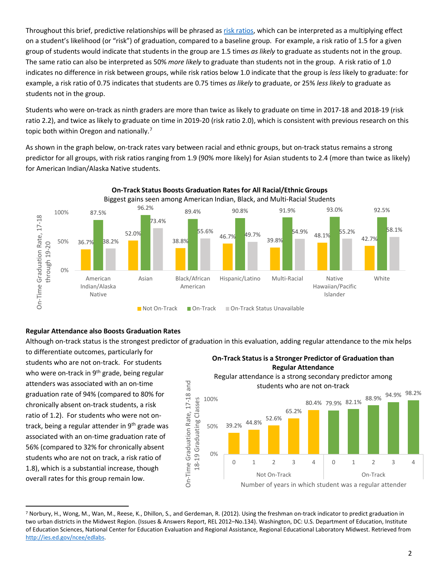Throughout this brief, predictive relationships will be phrased a[s risk ratios,](https://www.cdc.gov/csels/dsepd/ss1978/lesson3/section5.html) which can be interpreted as a multiplying effect on a student's likelihood (or "risk") of graduation, compared to a baseline group. For example, a risk ratio of 1.5 for a given group of students would indicate that students in the group are 1.5 times *as likely* to graduate as students not in the group. The same ratio can also be interpreted as 50% *more likely* to graduate than students not in the group. A risk ratio of 1.0 indicates no difference in risk between groups, while risk ratios below 1.0 indicate that the group is *less* likely to graduate: for example, a risk ratio of 0.75 indicates that students are 0.75 times *as likely* to graduate, or 25% *less likely* to graduate as students not in the group.

Students who were on-track as ninth graders are more than twice as likely to graduate on time in 2017-18 and 2018-19 (risk ratio 2.2), and twice as likely to graduate on time in 2019-20 (risk ratio 2.0), which is consistent with previous research on this topic both within Oregon and nationally.<sup>7</sup>

As shown in the graph below, on-track rates vary between racial and ethnic groups, but on-track status remains a strong predictor for all groups, with risk ratios ranging from 1.9 (90% more likely) for Asian students to 2.4 (more than twice as likely) for American Indian/Alaska Native students.



# **Regular Attendance also Boosts Graduation Rates**

Although on-track status is the strongest predictor of graduation in this evaluation, adding regular attendance to the mix helps

to differentiate outcomes, particularly for students who are not on-track. For students who were on-track in 9<sup>th</sup> grade, being regular attenders was associated with an on-time graduation rate of 94% (compared to 80% for chronically absent on-track students, a risk ratio of 1.2). For students who were not ontrack, being a regular attender in 9<sup>th</sup> grade was associated with an on-time graduation rate of 56% (compared to 32% for chronically absent students who are not on track, a risk ratio of 1.8), which is a substantial increase, though overall rates for this group remain low.





<span id="page-1-0"></span> <sup>7</sup> Norbury, H., Wong, M., Wan, M., Reese, K., Dhillon, S., and Gerdeman, R. (2012). Using the freshman on-track indicator to predict graduation in two urban districts in the Midwest Region. (Issues & Answers Report, REL 2012–No.134). Washington, DC: U.S. Department of Education, Institute of Education Sciences, National Center for Education Evaluation and Regional Assistance, Regional Educational Laboratory Midwest. Retrieved from [http://ies.ed.gov/ncee/edlabs.](http://ies.ed.gov/ncee/edlabs)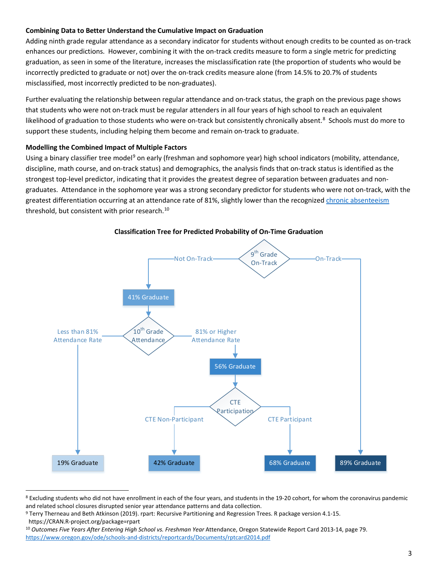### **Combining Data to Better Understand the Cumulative Impact on Graduation**

Adding ninth grade regular attendance as a secondary indicator for students without enough credits to be counted as on-track enhances our predictions. However, combining it with the on-track credits measure to form a single metric for predicting graduation, as seen in some of the literature, increases the misclassification rate (the proportion of students who would be incorrectly predicted to graduate or not) over the on-track credits measure alone (from 14.5% to 20.7% of students misclassified, most incorrectly predicted to be non-graduates).

Further evaluating the relationship between regular attendance and on-track status, the graph on the previous page shows that students who were not on-track must be regular attenders in all four years of high school to reach an equivalent likelihood of graduation to those students who were on-track but consistently chronically absent.<sup>8</sup> Schools must do more to support these students, including helping them become and remain on-track to graduate.

### **Modelling the Combined Impact of Multiple Factors**

Using a binary classifier tree model<sup>[9](#page-2-1)</sup> on early (freshman and sophomore year) high school indicators (mobility, attendance, discipline, math course, and on-track status) and demographics, the analysis finds that on-track status is identified as the strongest top-level predictor, indicating that it provides the greatest degree of separation between graduates and nongraduates. Attendance in the sophomore year was a strong secondary predictor for students who were not on-track, with the greatest differentiation occurring at an attendance rate of 81%, slightly lower than the recognized [chronic absenteeism](https://www.oregon.gov/ode/students-and-family/healthsafety/Pages/Chronic-Absenteeism.aspx) threshold, but consistent with prior research.<sup>[10](#page-2-2)</sup>

<span id="page-2-3"></span>

**Classification Tree for Predicted Probability of On-Time Graduation**

<span id="page-2-0"></span><sup>&</sup>lt;sup>8</sup> Excluding students who did not have enrollment in each of the four years, and students in the 19-20 cohort, for whom the coronavirus pandemic and related school closures disrupted senior year attendance patterns and data collection.

<span id="page-2-1"></span><sup>9</sup> Terry Therneau and Beth Atkinson (2019). rpart: Recursive Partitioning and Regression Trees. R package version 4.1-15.

https://CRAN.R-project.org/package=rpart

<span id="page-2-2"></span><sup>&</sup>lt;sup>10</sup> Outcomes Five Years After Entering High School vs. Freshman Year Attendance, Oregon Statewide Report Card 2013-14, page 79. <https://www.oregon.gov/ode/schools-and-districts/reportcards/Documents/rptcard2014.pdf>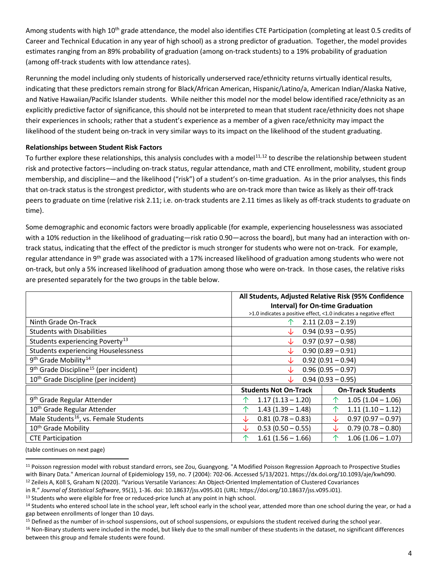Among students with high 10<sup>th</sup> grade attendance, the model also identifies CTE Participation (completing at least 0.5 credits of Career and Technical Education in any year of high school) as a strong predictor of graduation. Together, the model provides estimates ranging from an 89% probability of graduation (among on-track students) to a 19% probability of graduation (among off-track students with low attendance rates).

Rerunning the model including only students of historically underserved race/ethnicity returns virtually identical results, indicating that these predictors remain strong for Black/African American, Hispanic/Latino/a, American Indian/Alaska Native, and Native Hawaiian/Pacific Islander students. While neither this model nor the model below identified race/ethnicity as an explicitly predictive factor of significance, this should not be interpreted to mean that student race/ethnicity does not shape their experiences in schools; rather that a student's experience as a member of a given race/ethnicity may impact the likelihood of the student being on-track in very similar ways to its impact on the likelihood of the student graduating.

# **Relationships between Student Risk Factors**

To further explore these relationships, this analysis concludes with a model<sup>[11](#page-3-0),[12](#page-3-1)</sup> to describe the relationship between student risk and protective factors—including on-track status, regular attendance, math and CTE enrollment, mobility, student group membership, and discipline—and the likelihood ("risk") of a student's on-time graduation. As in the prior analyses, this finds that on-track status is the strongest predictor, with students who are on-track more than twice as likely as their off-track peers to graduate on time (relative risk 2.11; i.e. on-track students are 2.11 times as likely as off-track students to graduate on time).

Some demographic and economic factors were broadly applicable (for example, experiencing houselessness was associated with a 10% reduction in the likelihood of graduating—risk ratio 0.90—across the board), but many had an interaction with ontrack status, indicating that the effect of the predictor is much stronger for students who were not on-track. For example, regular attendance in 9<sup>th</sup> grade was associated with a 17% increased likelihood of graduation among students who were not on-track, but only a 5% increased likelihood of graduation among those who were on-track. In those cases, the relative risks are presented separately for the two groups in the table below.

|                                                               | All Students, Adjusted Relative Risk (95% Confidence |                                                                    |
|---------------------------------------------------------------|------------------------------------------------------|--------------------------------------------------------------------|
|                                                               | <b>Interval) for On-time Graduation</b>              |                                                                    |
|                                                               |                                                      | >1.0 indicates a positive effect, <1.0 indicates a negative effect |
| Ninth Grade On-Track                                          | $2.11(2.03 - 2.19)$                                  |                                                                    |
| <b>Students with Disabilities</b>                             | $0.94(0.93 - 0.95)$<br>◡                             |                                                                    |
| Students experiencing Poverty <sup>13</sup>                   | $0.97(0.97 - 0.98)$                                  |                                                                    |
| <b>Students experiencing Houselessness</b>                    | $0.90(0.89 - 0.91)$                                  |                                                                    |
| 9 <sup>th</sup> Grade Mobility <sup>14</sup>                  | $0.92(0.91 - 0.94)$<br>◡                             |                                                                    |
| 9 <sup>th</sup> Grade Discipline <sup>15</sup> (per incident) | $0.96(0.95 - 0.97)$                                  |                                                                    |
| 10 <sup>th</sup> Grade Discipline (per incident)              | $0.94(0.93 - 0.95)$                                  |                                                                    |
|                                                               | <b>Students Not On-Track</b>                         | <b>On-Track Students</b>                                           |
| 9 <sup>th</sup> Grade Regular Attender                        | $1.17(1.13 - 1.20)$                                  | $1.05(1.04 - 1.06)$                                                |
| 10 <sup>th</sup> Grade Regular Attender                       | $1.43(1.39 - 1.48)$<br>◠                             | $1.11(1.10 - 1.12)$<br>$\hat{\mathcal{L}}$                         |
| Male Students <sup>16</sup> , vs. Female Students             | $0.81(0.78 - 0.83)$<br>◡                             | $0.97(0.97 - 0.97)$<br>J∠                                          |
| 10 <sup>th</sup> Grade Mobility                               | $0.53(0.50 - 0.55)$<br>J                             | $0.79(0.78 - 0.80)$<br>J∠                                          |
| <b>CTE Participation</b>                                      | $1.61(1.56 - 1.66)$<br>↑                             | $1.06(1.06 - 1.07)$<br>↑                                           |

(table continues on next page)

<span id="page-3-0"></span> <sup>11</sup> Poisson regression model with robust standard errors, see Zou, Guangyong. "A Modified Poisson Regression Approach to Prospective Studies with Binary Data." American Journal of Epidemiology 159, no. 7 (2004): 702-06. Accessed 5/13/2021. https://dx.doi.org/10.1093/aje/kwh090. <sup>12</sup> Zeileis A, Köll S, Graham N (2020). "Various Versatile Variances: An Object-Oriented Implementation of Clustered Covariances

<span id="page-3-1"></span>in R." *Journal of Statistical Software*, 95(1), 1-36. doi: 10.18637/jss.v095.i01 (URL: https://doi.org/10.18637/jss.v095.i01).

<span id="page-3-2"></span><sup>&</sup>lt;sup>13</sup> Students who were eligible for free or reduced-price lunch at any point in high school.

<span id="page-3-3"></span><sup>&</sup>lt;sup>14</sup> Students who entered school late in the school year, left school early in the school year, attended more than one school during the year, or had a gap between enrollments of longer than 10 days.

<span id="page-3-4"></span> $15$  Defined as the number of in-school suspensions, out of school suspensions, or expulsions the student received during the school year.

<span id="page-3-5"></span><sup>&</sup>lt;sup>16</sup> Non-Binary students were included in the model, but likely due to the small number of these students in the dataset, no significant differences between this group and female students were found.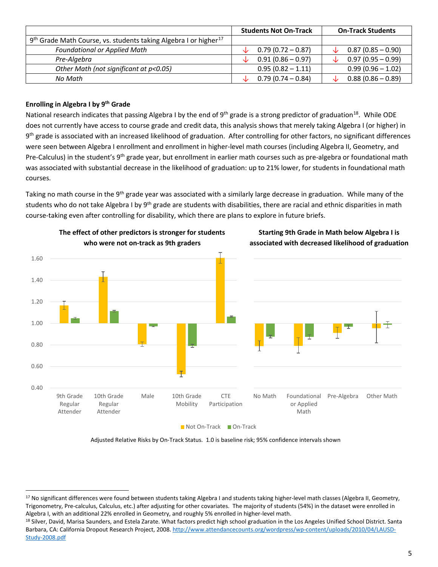|                                                                                          | <b>Students Not On-Track</b> | <b>On-Track Students</b> |
|------------------------------------------------------------------------------------------|------------------------------|--------------------------|
| 9 <sup>th</sup> Grade Math Course, vs. students taking Algebra I or higher <sup>17</sup> |                              |                          |
| <b>Foundational or Applied Math</b>                                                      | $0.79(0.72 - 0.87)$          | $0.87(0.85 - 0.90)$      |
| Pre-Algebra                                                                              | $0.91(0.86 - 0.97)$          | $0.97(0.95 - 0.99)$      |
| Other Math (not significant at p<0.05)                                                   | $0.95(0.82 - 1.11)$          | $0.99(0.96 - 1.02)$      |
| No Math                                                                                  | $0.79(0.74 - 0.84)$          | $0.88(0.86 - 0.89)$      |

# **Enrolling in Algebra I by 9th Grade**

l

National research indicates that passing Algebra I by the end of 9<sup>th</sup> grade is a strong predictor of graduation<sup>[18](#page-4-1)</sup>. While ODE does not currently have access to course grade and credit data, this analysis shows that merely taking Algebra I (or higher) in 9<sup>th</sup> grade is associated with an increased likelihood of graduation. After controlling for other factors, no significant differences were seen between Algebra I enrollment and enrollment in higher-level math courses (including Algebra II, Geometry, and Pre-Calculus) in the student's 9<sup>th</sup> grade year, but enrollment in earlier math courses such as pre-algebra or foundational math was associated with substantial decrease in the likelihood of graduation: up to 21% lower, for students in foundational math courses.

Taking no math course in the 9<sup>th</sup> grade year was associated with a similarly large decrease in graduation. While many of the students who do not take Algebra I by 9<sup>th</sup> grade are students with disabilities, there are racial and ethnic disparities in math course-taking even after controlling for disability, which there are plans to explore in future briefs.



Adjusted Relative Risks by On-Track Status. 1.0 is baseline risk; 95% confidence intervals shown

<span id="page-4-0"></span><sup>&</sup>lt;sup>17</sup> No significant differences were found between students taking Algebra I and students taking higher-level math classes (Algebra II, Geometry, Trigonometry, Pre-calculus, Calculus, etc.) after adjusting for other covariates. The majority of students (54%) in the dataset were enrolled in Algebra I, with an additional 22% enrolled in Geometry, and roughly 5% enrolled in higher-level math.

<span id="page-4-1"></span><sup>&</sup>lt;sup>18</sup> Silver, David, Marisa Saunders, and Estela Zarate. What factors predict high school graduation in the Los Angeles Unified School District. Santa Barbara, CA: California Dropout Research Project, 2008[. http://www.attendancecounts.org/wordpress/wp-content/uploads/2010/04/LAUSD-](http://www.attendancecounts.org/wordpress/wp-content/uploads/2010/04/LAUSD-Study-2008.pdf)[Study-2008.pdf](http://www.attendancecounts.org/wordpress/wp-content/uploads/2010/04/LAUSD-Study-2008.pdf)